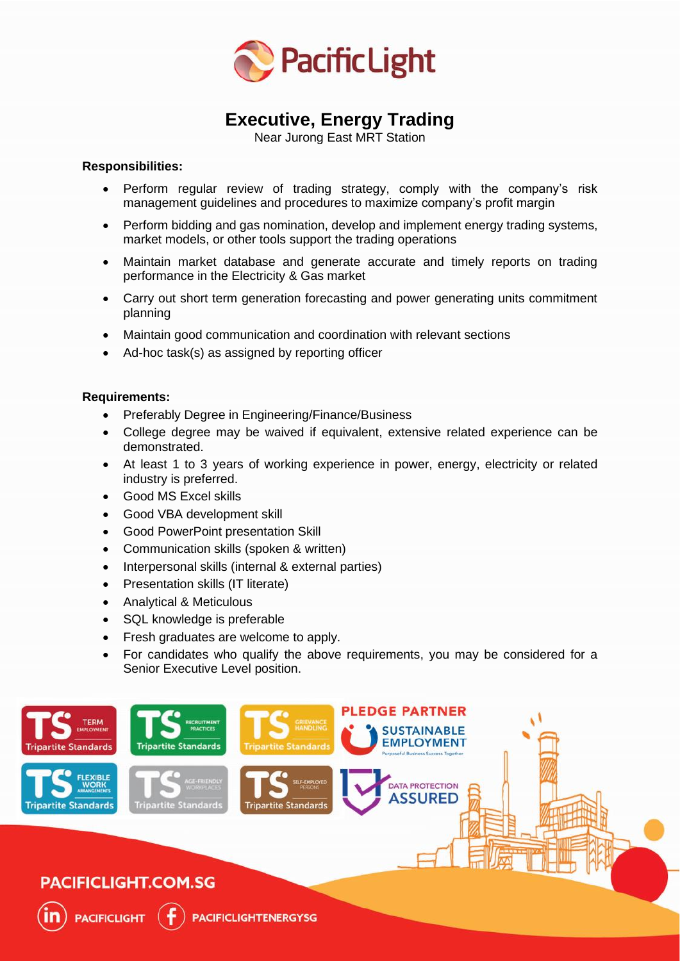

# **Executive, Energy Trading**

Near Jurong East MRT Station

#### **Responsibilities:**

- Perform regular review of trading strategy, comply with the company's risk management guidelines and procedures to maximize company's profit margin
- Perform bidding and gas nomination, develop and implement energy trading systems, market models, or other tools support the trading operations
- Maintain market database and generate accurate and timely reports on trading performance in the Electricity & Gas market
- Carry out short term generation forecasting and power generating units commitment planning
- Maintain good communication and coordination with relevant sections
- Ad-hoc task(s) as assigned by reporting officer

#### **Requirements:**

- Preferably Degree in Engineering/Finance/Business
- College degree may be waived if equivalent, extensive related experience can be demonstrated.
- At least 1 to 3 years of working experience in power, energy, electricity or related industry is preferred.
- Good MS Excel skills
- Good VBA development skill
- Good PowerPoint presentation Skill
- Communication skills (spoken & written)
- Interpersonal skills (internal & external parties)
- Presentation skills (IT literate)
- Analytical & Meticulous
- SQL knowledge is preferable
- Fresh graduates are welcome to apply.
- For candidates who qualify the above requirements, you may be considered for a Senior Executive Level position.